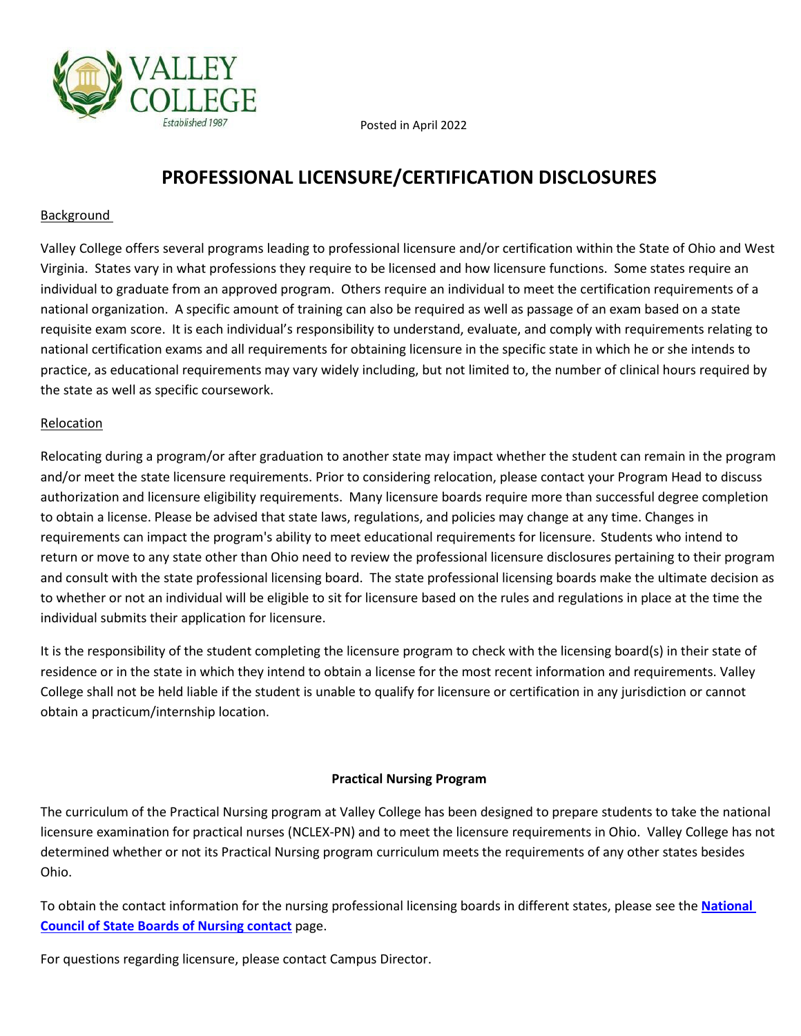Posted in April 2022



### **Background**

Valley College offers several programs leading to professional licensure and/or certification within the State of Ohio and West Virginia. States vary in what professions they require to be licensed and how licensure functions. Some states require an individual to graduate from an approved program. Others require an individual to meet the certification requirements of a national organization. A specific amount of training can also be required as well as passage of an exam based on a state requisite exam score. It is each individual's responsibility to understand, evaluate, and comply with requirements relating to national certification exams and all requirements for obtaining licensure in the specific state in which he or she intends to practice, as educational requirements may vary widely including, but not limited to, the number of clinical hours required by the state as well as specific coursework.

#### **Relocation**

Relocating during a program/or after graduation to another state may impact whether the student can remain in the program and/or meet the state licensure requirements. Prior to considering relocation, please contact your Program Head to discuss authorization and licensure eligibility requirements. Many licensure boards require more than successful degree completion to obtain a license. Please be advised that state laws, regulations, and policies may change at any time. Changes in requirements can impact the program's ability to meet educational requirements for licensure. Students who intend to return or move to any state other than Ohio need to review the professional licensure disclosures pertaining to their program and consult with the state professional licensing board. The state professional licensing boards make the ultimate decision as to whether or not an individual will be eligible to sit for licensure based on the rules and regulations in place at the time the individual submits their application for licensure.

It is the responsibility of the student completing the licensure program to check with the licensing board(s) in their state of residence or in the state in which they intend to obtain a license for the most recent information and requirements. Valley College shall not be held liable if the student is unable to qualify for licensure or certification in any jurisdiction or cannot obtain a practicum/internship location.

#### **Practical Nursing Program**

The curriculum of the Practical Nursing program at Valley College has been designed to prepare students to take the national licensure examination for practical nurses (NCLEX-PN) and to meet the licensure requirements in Ohio. Valley College has not determined whether or not its Practical Nursing program curriculum meets the requirements of any other states besides Ohio.

To obtain the contact information for the nursing professional licensing boards in different states, please see the **[National](https://www.ncsbn.org/contact-bon.htm)  [Council of State Boards of Nursing contact](https://www.ncsbn.org/contact-bon.htm)** page.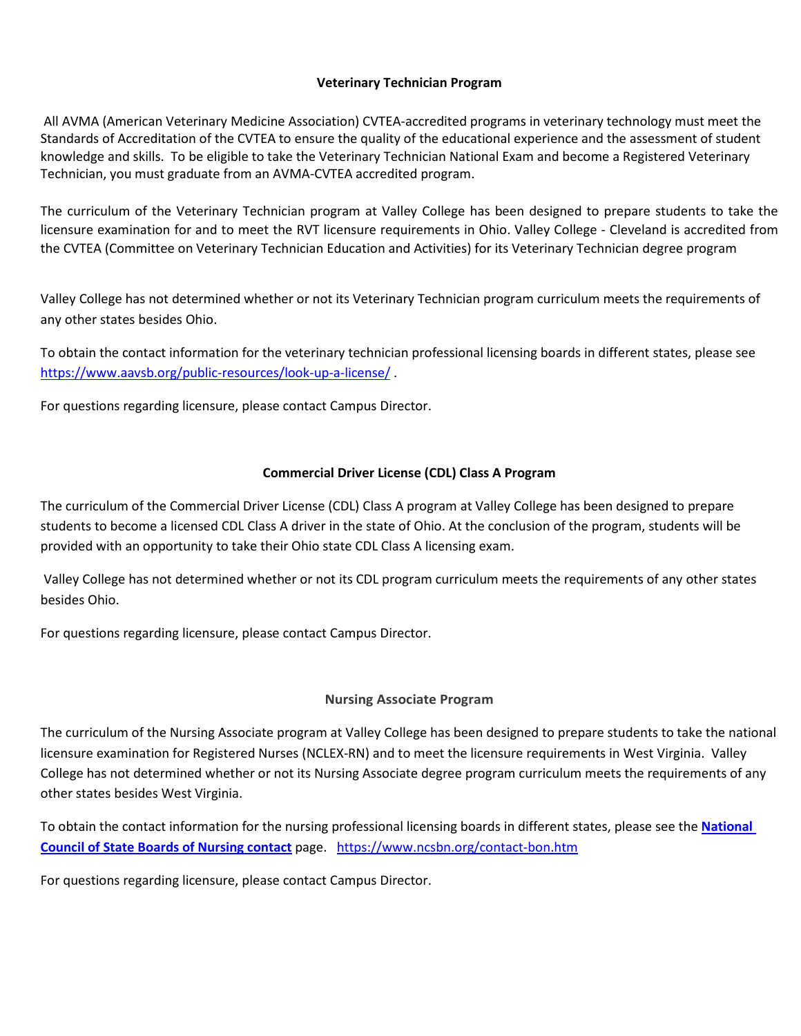### **Veterinary Technician Program**

All AVMA (American Veterinary Medicine Association) CVTEA-accredited programs in veterinary technology must meet the Standards of Accreditation of the CVTEA to ensure the quality of the educational experience and the assessment of student knowledge and skills. To be eligible to take the Veterinary Technician National Exam and become a Registered Veterinary Technician, you must graduate from an AVMA-CVTEA accredited program.

The curriculum of the Veterinary Technician program at Valley College has been designed to prepare students to take the licensure examination for and to meet the RVT licensure requirements in Ohio. Valley College - Cleveland is accredited from the CVTEA (Committee on Veterinary Technician Education and Activities) for its Veterinary Technician degree program

Valley College has not determined whether or not its Veterinary Technician program curriculum meets the requirements of any other states besides Ohio.

To obtain the contact information for the veterinary technician professional licensing boards in different states, please see <https://www.aavsb.org/public-resources/look-up-a-license/> .

For questions regarding licensure, please contact Campus Director.

### **Commercial Driver License (CDL) Class A Program**

The curriculum of the Commercial Driver License (CDL) Class A program at Valley College has been designed to prepare students to become a licensed CDL Class A driver in the state of Ohio. At the conclusion of the program, students will be provided with an opportunity to take their Ohio state CDL Class A licensing exam.

Valley College has not determined whether or not its CDL program curriculum meets the requirements of any other states besides Ohio.

For questions regarding licensure, please contact Campus Director.

### **Nursing Associate Program**

The curriculum of the Nursing Associate program at Valley College has been designed to prepare students to take the national licensure examination for Registered Nurses (NCLEX-RN) and to meet the licensure requirements in West Virginia. Valley College has not determined whether or not its Nursing Associate degree program curriculum meets the requirements of any other states besides West Virginia.

To obtain the contact information for the nursing professional licensing boards in different states, please see the **[National](https://www.ncsbn.org/contact-bon.htm)  [Council of State Boards of Nursing contact](https://www.ncsbn.org/contact-bon.htm)** page. <https://www.ncsbn.org/contact-bon.htm>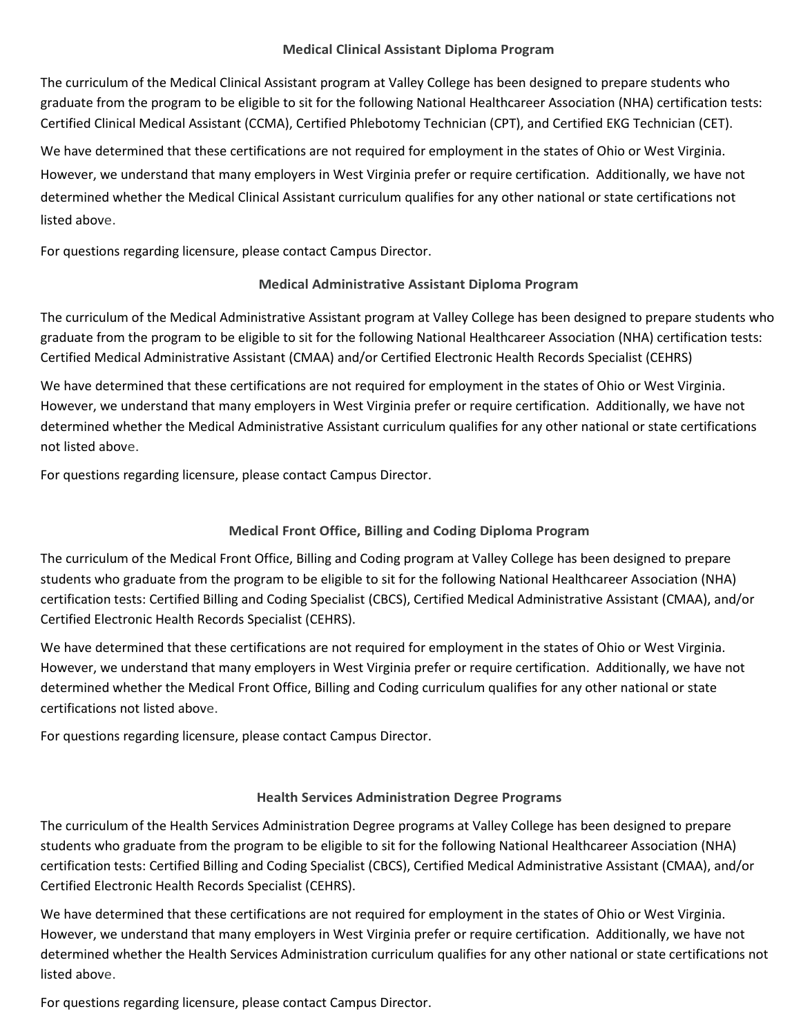### **Medical Clinical Assistant Diploma Program**

The curriculum of the Medical Clinical Assistant program at Valley College has been designed to prepare students who graduate from the program to be eligible to sit for the following National Healthcareer Association (NHA) certification tests: Certified Clinical Medical Assistant (CCMA), Certified Phlebotomy Technician (CPT), and Certified EKG Technician (CET).

We have determined that these certifications are not required for employment in the states of Ohio or West Virginia. However, we understand that many employers in West Virginia prefer or require certification. Additionally, we have not determined whether the Medical Clinical Assistant curriculum qualifies for any other national or state certifications not listed above.

For questions regarding licensure, please contact Campus Director.

## **Medical Administrative Assistant Diploma Program**

The curriculum of the Medical Administrative Assistant program at Valley College has been designed to prepare students who graduate from the program to be eligible to sit for the following National Healthcareer Association (NHA) certification tests: Certified Medical Administrative Assistant (CMAA) and/or Certified Electronic Health Records Specialist (CEHRS)

We have determined that these certifications are not required for employment in the states of Ohio or West Virginia. However, we understand that many employers in West Virginia prefer or require certification. Additionally, we have not determined whether the Medical Administrative Assistant curriculum qualifies for any other national or state certifications not listed above.

For questions regarding licensure, please contact Campus Director.

# **Medical Front Office, Billing and Coding Diploma Program**

The curriculum of the Medical Front Office, Billing and Coding program at Valley College has been designed to prepare students who graduate from the program to be eligible to sit for the following National Healthcareer Association (NHA) certification tests: Certified Billing and Coding Specialist (CBCS), Certified Medical Administrative Assistant (CMAA), and/or Certified Electronic Health Records Specialist (CEHRS).

We have determined that these certifications are not required for employment in the states of Ohio or West Virginia. However, we understand that many employers in West Virginia prefer or require certification. Additionally, we have not determined whether the Medical Front Office, Billing and Coding curriculum qualifies for any other national or state certifications not listed above.

For questions regarding licensure, please contact Campus Director.

### **Health Services Administration Degree Programs**

The curriculum of the Health Services Administration Degree programs at Valley College has been designed to prepare students who graduate from the program to be eligible to sit for the following National Healthcareer Association (NHA) certification tests: Certified Billing and Coding Specialist (CBCS), Certified Medical Administrative Assistant (CMAA), and/or Certified Electronic Health Records Specialist (CEHRS).

We have determined that these certifications are not required for employment in the states of Ohio or West Virginia. However, we understand that many employers in West Virginia prefer or require certification. Additionally, we have not determined whether the Health Services Administration curriculum qualifies for any other national or state certifications not listed above.